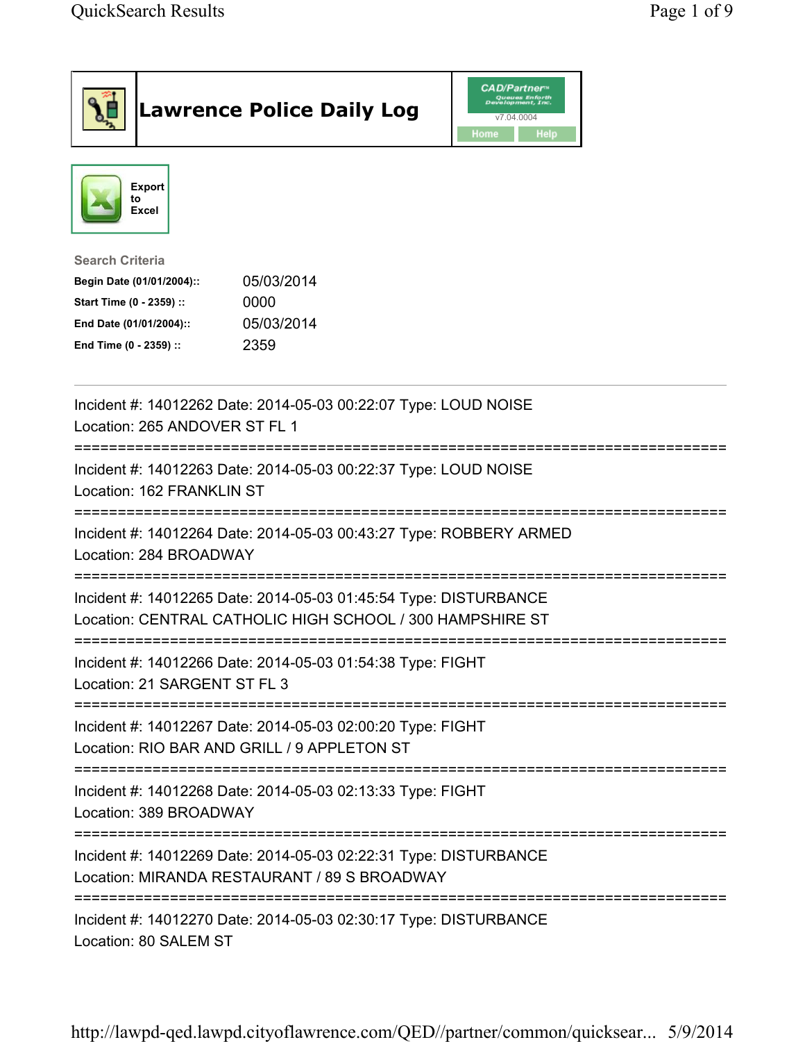| <b>Lawrence Police Daily Log</b>                                                                                                                                                 | <i><b>CAD/Partner</b></i><br>v7.04.0004<br>Home<br>Help |
|----------------------------------------------------------------------------------------------------------------------------------------------------------------------------------|---------------------------------------------------------|
| <b>Export</b><br>to<br>Excel                                                                                                                                                     |                                                         |
| <b>Search Criteria</b><br>05/03/2014<br>Begin Date (01/01/2004)::<br>Start Time (0 - 2359) ::<br>0000<br>05/03/2014<br>End Date (01/01/2004)::<br>2359<br>End Time (0 - 2359) :: |                                                         |
| Incident #: 14012262 Date: 2014-05-03 00:22:07 Type: LOUD NOISE<br>Location: 265 ANDOVER ST FL 1                                                                                 |                                                         |
| Incident #: 14012263 Date: 2014-05-03 00:22:37 Type: LOUD NOISE<br>Location: 162 FRANKLIN ST                                                                                     |                                                         |
| Incident #: 14012264 Date: 2014-05-03 00:43:27 Type: ROBBERY ARMED<br>Location: 284 BROADWAY                                                                                     |                                                         |
| Incident #: 14012265 Date: 2014-05-03 01:45:54 Type: DISTURBANCE<br>Location: CENTRAL CATHOLIC HIGH SCHOOL / 300 HAMPSHIRE ST                                                    |                                                         |
| Incident #: 14012266 Date: 2014-05-03 01:54:38 Type: FIGHT<br>Location: 21 SARGENT ST FL 3                                                                                       |                                                         |
| Incident #: 14012267 Date: 2014-05-03 02:00:20 Type: FIGHT<br>Location: RIO BAR AND GRILL / 9 APPLETON ST                                                                        |                                                         |
| Incident #: 14012268 Date: 2014-05-03 02:13:33 Type: FIGHT<br>Location: 389 BROADWAY                                                                                             |                                                         |
| Incident #: 14012269 Date: 2014-05-03 02:22:31 Type: DISTURBANCE<br>Location: MIRANDA RESTAURANT / 89 S BROADWAY                                                                 |                                                         |
| =====================================<br>Incident #: 14012270 Date: 2014-05-03 02:30:17 Type: DISTURBANCE<br>Location: 80 SALEM ST                                               |                                                         |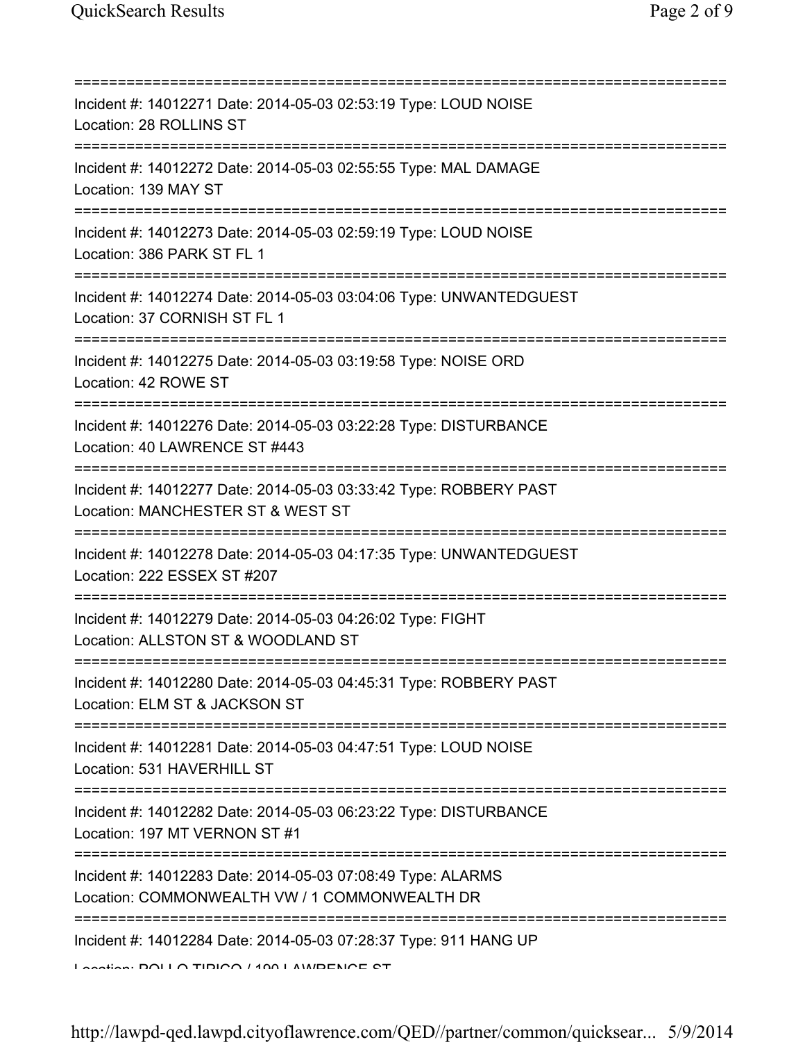| Incident #: 14012271 Date: 2014-05-03 02:53:19 Type: LOUD NOISE<br>Location: 28 ROLLINS ST<br>============================                                                                                                                                    |
|---------------------------------------------------------------------------------------------------------------------------------------------------------------------------------------------------------------------------------------------------------------|
| Incident #: 14012272 Date: 2014-05-03 02:55:55 Type: MAL DAMAGE<br>Location: 139 MAY ST                                                                                                                                                                       |
| Incident #: 14012273 Date: 2014-05-03 02:59:19 Type: LOUD NOISE<br>Location: 386 PARK ST FL 1<br>===================                                                                                                                                          |
| Incident #: 14012274 Date: 2014-05-03 03:04:06 Type: UNWANTEDGUEST<br>Location: 37 CORNISH ST FL 1                                                                                                                                                            |
| Incident #: 14012275 Date: 2014-05-03 03:19:58 Type: NOISE ORD<br>Location: 42 ROWE ST<br>===============================                                                                                                                                     |
| Incident #: 14012276 Date: 2014-05-03 03:22:28 Type: DISTURBANCE<br>Location: 40 LAWRENCE ST #443                                                                                                                                                             |
| Incident #: 14012277 Date: 2014-05-03 03:33:42 Type: ROBBERY PAST<br>Location: MANCHESTER ST & WEST ST<br>:===================<br>===========                                                                                                                 |
| Incident #: 14012278 Date: 2014-05-03 04:17:35 Type: UNWANTEDGUEST<br>Location: 222 ESSEX ST #207                                                                                                                                                             |
| Incident #: 14012279 Date: 2014-05-03 04:26:02 Type: FIGHT<br>Location: ALLSTON ST & WOODLAND ST                                                                                                                                                              |
| Incident #: 14012280 Date: 2014-05-03 04:45:31 Type: ROBBERY PAST<br>Location: ELM ST & JACKSON ST                                                                                                                                                            |
| Incident #: 14012281 Date: 2014-05-03 04:47:51 Type: LOUD NOISE<br>Location: 531 HAVERHILL ST                                                                                                                                                                 |
| ======================================<br>Incident #: 14012282 Date: 2014-05-03 06:23:22 Type: DISTURBANCE<br>Location: 197 MT VERNON ST #1                                                                                                                   |
| ===================================<br>Incident #: 14012283 Date: 2014-05-03 07:08:49 Type: ALARMS<br>Location: COMMONWEALTH VW / 1 COMMONWEALTH DR                                                                                                           |
| Incident #: 14012284 Date: 2014-05-03 07:28:37 Type: 911 HANG UP<br>$\overline{1}$ and $\overline{1}$ and $\overline{1}$ and $\overline{1}$ and $\overline{1}$ and $\overline{1}$ and $\overline{1}$ and $\overline{1}$ and $\overline{1}$ and $\overline{1}$ |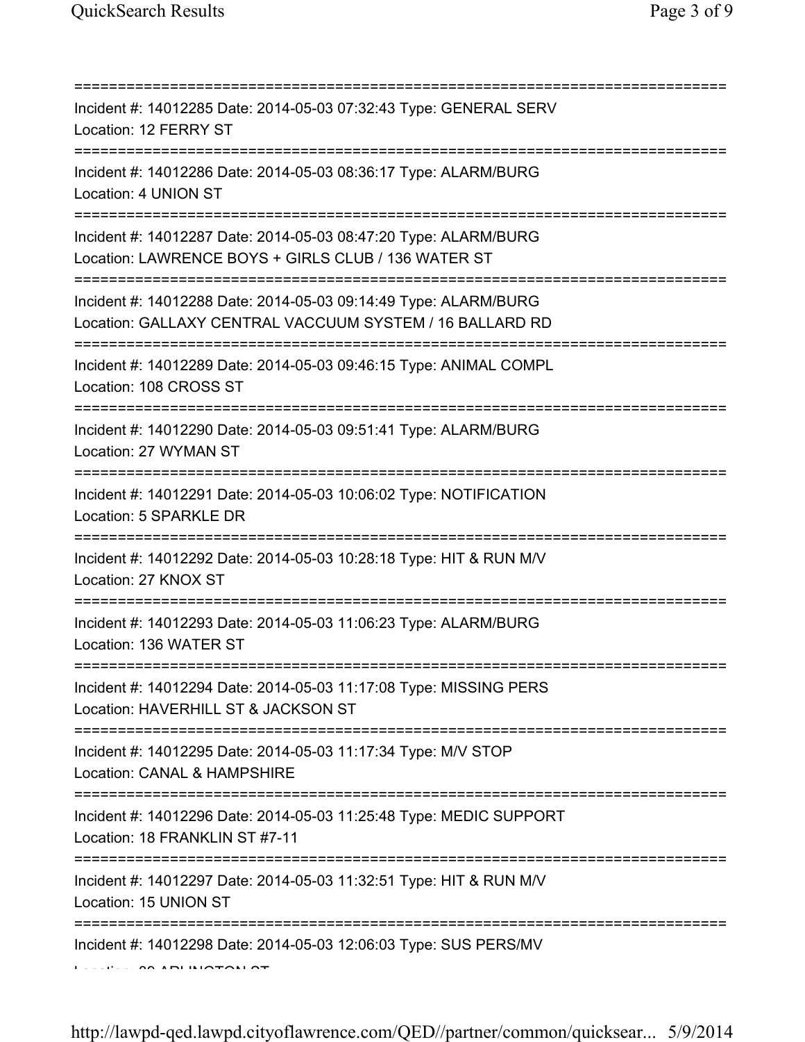| Incident #: 14012285 Date: 2014-05-03 07:32:43 Type: GENERAL SERV<br>Location: 12 FERRY ST                                      |
|---------------------------------------------------------------------------------------------------------------------------------|
| Incident #: 14012286 Date: 2014-05-03 08:36:17 Type: ALARM/BURG<br>Location: 4 UNION ST                                         |
| Incident #: 14012287 Date: 2014-05-03 08:47:20 Type: ALARM/BURG<br>Location: LAWRENCE BOYS + GIRLS CLUB / 136 WATER ST          |
| Incident #: 14012288 Date: 2014-05-03 09:14:49 Type: ALARM/BURG<br>Location: GALLAXY CENTRAL VACCUUM SYSTEM / 16 BALLARD RD     |
| Incident #: 14012289 Date: 2014-05-03 09:46:15 Type: ANIMAL COMPL<br>Location: 108 CROSS ST                                     |
| Incident #: 14012290 Date: 2014-05-03 09:51:41 Type: ALARM/BURG<br>Location: 27 WYMAN ST                                        |
| Incident #: 14012291 Date: 2014-05-03 10:06:02 Type: NOTIFICATION<br>Location: 5 SPARKLE DR                                     |
| Incident #: 14012292 Date: 2014-05-03 10:28:18 Type: HIT & RUN M/V<br>Location: 27 KNOX ST                                      |
| Incident #: 14012293 Date: 2014-05-03 11:06:23 Type: ALARM/BURG<br>Location: 136 WATER ST                                       |
| Incident #: 14012294 Date: 2014-05-03 11:17:08 Type: MISSING PERS<br>Location: HAVERHILL ST & JACKSON ST                        |
| -------------------------------<br>Incident #: 14012295 Date: 2014-05-03 11:17:34 Type: M/V STOP<br>Location: CANAL & HAMPSHIRE |
| Incident #: 14012296 Date: 2014-05-03 11:25:48 Type: MEDIC SUPPORT<br>Location: 18 FRANKLIN ST #7-11                            |
| Incident #: 14012297 Date: 2014-05-03 11:32:51 Type: HIT & RUN M/V<br>Location: 15 UNION ST                                     |
| Incident #: 14012298 Date: 2014-05-03 12:06:03 Type: SUS PERS/MV                                                                |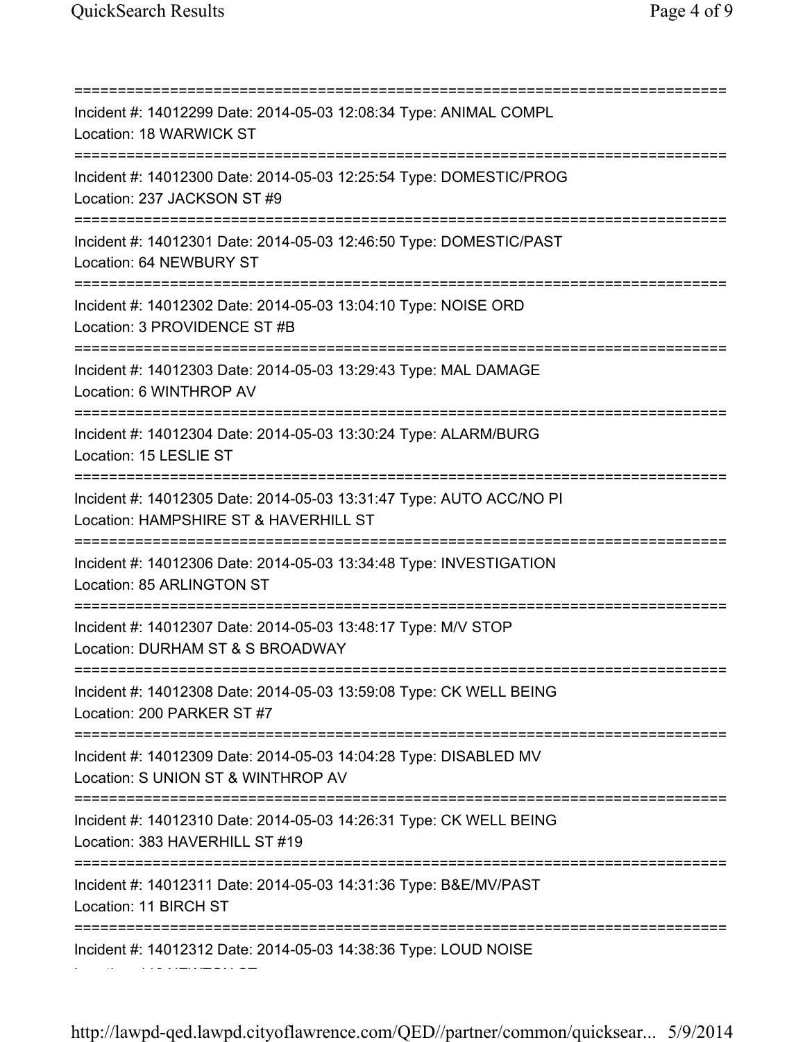Location: 116 NEWTON ST

=========================================================================== Incident #: 14012299 Date: 2014-05-03 12:08:34 Type: ANIMAL COMPL Location: 18 WARWICK ST =========================================================================== Incident #: 14012300 Date: 2014-05-03 12:25:54 Type: DOMESTIC/PROG Location: 237 JACKSON ST #9 =========================================================================== Incident #: 14012301 Date: 2014-05-03 12:46:50 Type: DOMESTIC/PAST Location: 64 NEWBURY ST =========================================================================== Incident #: 14012302 Date: 2014-05-03 13:04:10 Type: NOISE ORD Location: 3 PROVIDENCE ST #B =========================================================================== Incident #: 14012303 Date: 2014-05-03 13:29:43 Type: MAL DAMAGE Location: 6 WINTHROP AV =========================================================================== Incident #: 14012304 Date: 2014-05-03 13:30:24 Type: ALARM/BURG Location: 15 LESLIE ST =========================================================================== Incident #: 14012305 Date: 2014-05-03 13:31:47 Type: AUTO ACC/NO PI Location: HAMPSHIRE ST & HAVERHILL ST =========================================================================== Incident #: 14012306 Date: 2014-05-03 13:34:48 Type: INVESTIGATION Location: 85 ARLINGTON ST =========================================================================== Incident #: 14012307 Date: 2014-05-03 13:48:17 Type: M/V STOP Location: DURHAM ST & S BROADWAY =========================================================================== Incident #: 14012308 Date: 2014-05-03 13:59:08 Type: CK WELL BEING Location: 200 PARKER ST #7 =========================================================================== Incident #: 14012309 Date: 2014-05-03 14:04:28 Type: DISABLED MV Location: S UNION ST & WINTHROP AV =========================================================================== Incident #: 14012310 Date: 2014-05-03 14:26:31 Type: CK WELL BEING Location: 383 HAVERHILL ST #19 =========================================================================== Incident #: 14012311 Date: 2014-05-03 14:31:36 Type: B&E/MV/PAST Location: 11 BIRCH ST =========================================================================== Incident #: 14012312 Date: 2014-05-03 14:38:36 Type: LOUD NOISE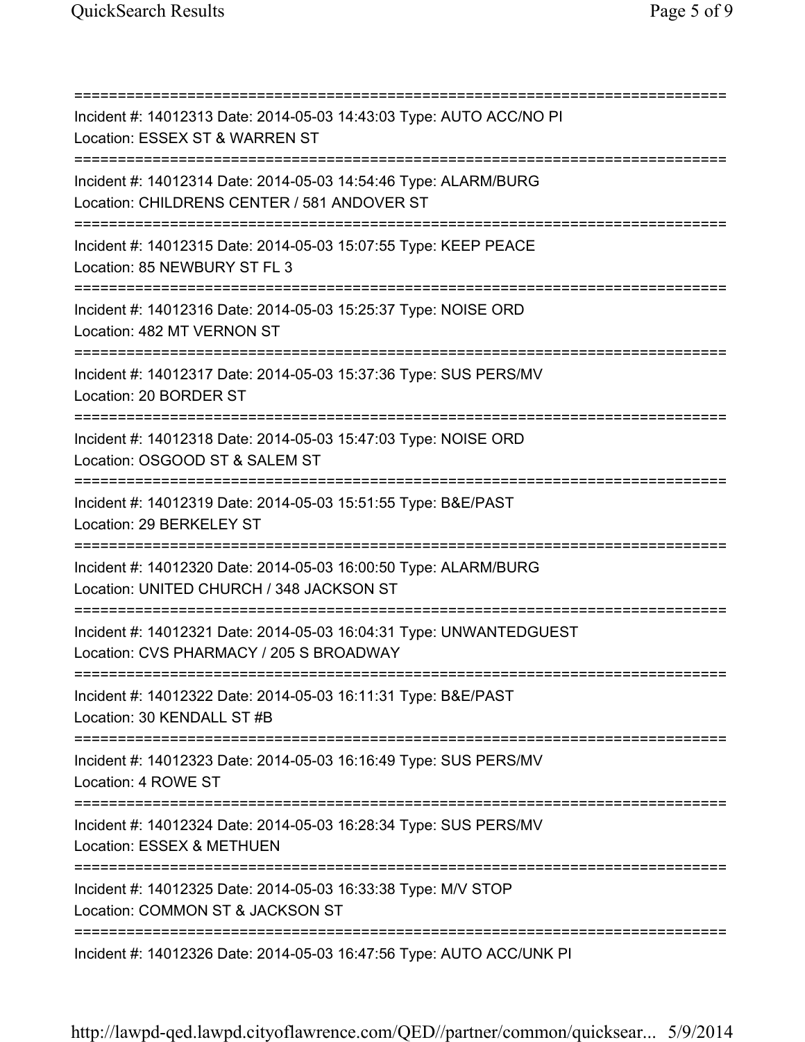=========================================================================== Incident #: 14012313 Date: 2014-05-03 14:43:03 Type: AUTO ACC/NO PI Location: ESSEX ST & WARREN ST =========================================================================== Incident #: 14012314 Date: 2014-05-03 14:54:46 Type: ALARM/BURG Location: CHILDRENS CENTER / 581 ANDOVER ST =========================================================================== Incident #: 14012315 Date: 2014-05-03 15:07:55 Type: KEEP PEACE Location: 85 NEWBURY ST FL 3 =========================================================================== Incident #: 14012316 Date: 2014-05-03 15:25:37 Type: NOISE ORD Location: 482 MT VERNON ST =========================================================================== Incident #: 14012317 Date: 2014-05-03 15:37:36 Type: SUS PERS/MV Location: 20 BORDER ST =========================================================================== Incident #: 14012318 Date: 2014-05-03 15:47:03 Type: NOISE ORD Location: OSGOOD ST & SALEM ST =========================================================================== Incident #: 14012319 Date: 2014-05-03 15:51:55 Type: B&E/PAST Location: 29 BERKELEY ST =========================================================================== Incident #: 14012320 Date: 2014-05-03 16:00:50 Type: ALARM/BURG Location: UNITED CHURCH / 348 JACKSON ST =========================================================================== Incident #: 14012321 Date: 2014-05-03 16:04:31 Type: UNWANTEDGUEST Location: CVS PHARMACY / 205 S BROADWAY =========================================================================== Incident #: 14012322 Date: 2014-05-03 16:11:31 Type: B&E/PAST Location: 30 KENDALL ST #B =========================================================================== Incident #: 14012323 Date: 2014-05-03 16:16:49 Type: SUS PERS/MV Location: 4 ROWE ST =========================================================================== Incident #: 14012324 Date: 2014-05-03 16:28:34 Type: SUS PERS/MV Location: ESSEX & METHUEN =========================================================================== Incident #: 14012325 Date: 2014-05-03 16:33:38 Type: M/V STOP Location: COMMON ST & JACKSON ST =========================================================================== Incident #: 14012326 Date: 2014-05-03 16:47:56 Type: AUTO ACC/UNK PI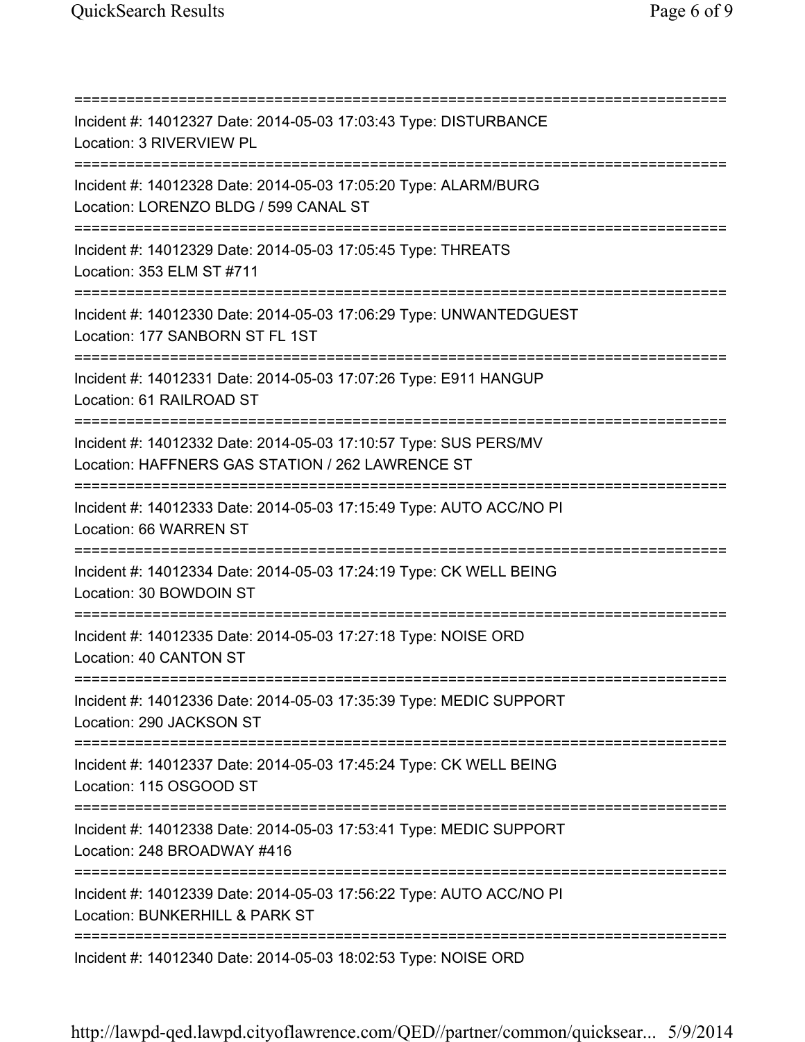=========================================================================== Incident #: 14012327 Date: 2014-05-03 17:03:43 Type: DISTURBANCE Location: 3 RIVERVIEW PL =========================================================================== Incident #: 14012328 Date: 2014-05-03 17:05:20 Type: ALARM/BURG Location: LORENZO BLDG / 599 CANAL ST =========================================================================== Incident #: 14012329 Date: 2014-05-03 17:05:45 Type: THREATS Location: 353 ELM ST #711 =========================================================================== Incident #: 14012330 Date: 2014-05-03 17:06:29 Type: UNWANTEDGUEST Location: 177 SANBORN ST FL 1ST =========================================================================== Incident #: 14012331 Date: 2014-05-03 17:07:26 Type: E911 HANGUP Location: 61 RAILROAD ST =========================================================================== Incident #: 14012332 Date: 2014-05-03 17:10:57 Type: SUS PERS/MV Location: HAFFNERS GAS STATION / 262 LAWRENCE ST =========================================================================== Incident #: 14012333 Date: 2014-05-03 17:15:49 Type: AUTO ACC/NO PI Location: 66 WARREN ST =========================================================================== Incident #: 14012334 Date: 2014-05-03 17:24:19 Type: CK WELL BEING Location: 30 BOWDOIN ST =========================================================================== Incident #: 14012335 Date: 2014-05-03 17:27:18 Type: NOISE ORD Location: 40 CANTON ST =========================================================================== Incident #: 14012336 Date: 2014-05-03 17:35:39 Type: MEDIC SUPPORT Location: 290 JACKSON ST =========================================================================== Incident #: 14012337 Date: 2014-05-03 17:45:24 Type: CK WELL BEING Location: 115 OSGOOD ST =========================================================================== Incident #: 14012338 Date: 2014-05-03 17:53:41 Type: MEDIC SUPPORT Location: 248 BROADWAY #416 =========================================================================== Incident #: 14012339 Date: 2014-05-03 17:56:22 Type: AUTO ACC/NO PI Location: BUNKERHILL & PARK ST =========================================================================== Incident #: 14012340 Date: 2014-05-03 18:02:53 Type: NOISE ORD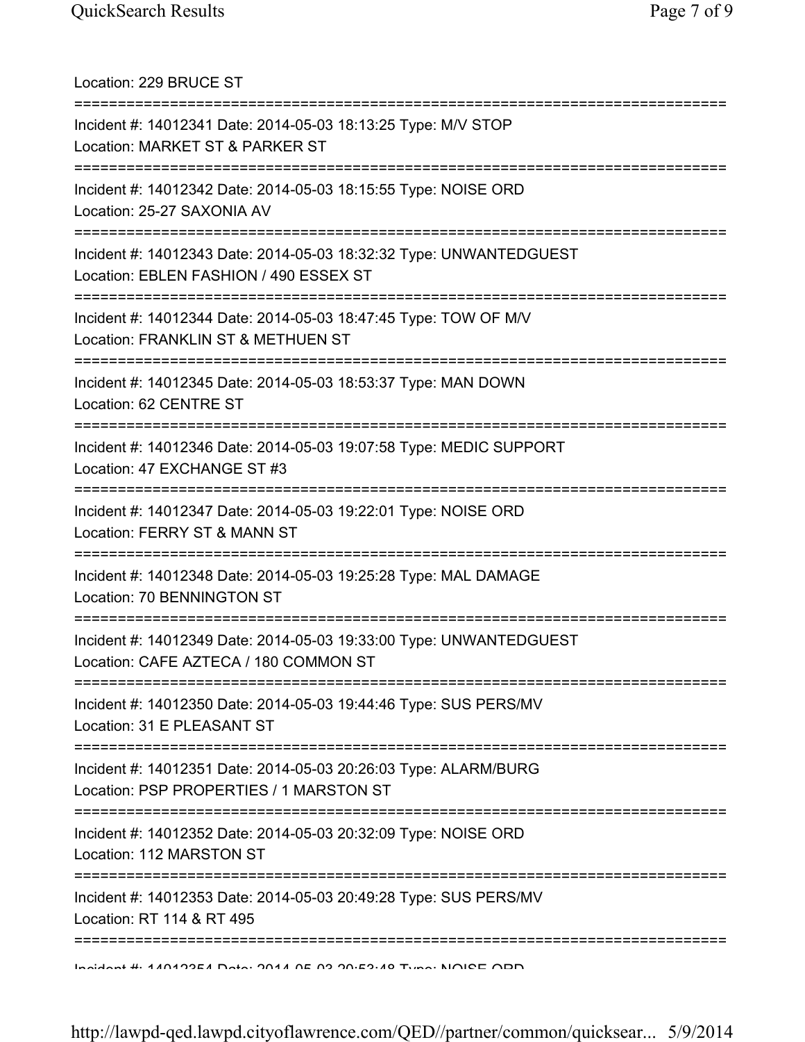Location: 229 BRUCE ST =========================================================================== Incident #: 14012341 Date: 2014-05-03 18:13:25 Type: M/V STOP Location: MARKET ST & PARKER ST =========================================================================== Incident #: 14012342 Date: 2014-05-03 18:15:55 Type: NOISE ORD Location: 25-27 SAXONIA AV =========================================================================== Incident #: 14012343 Date: 2014-05-03 18:32:32 Type: UNWANTEDGUEST Location: EBLEN FASHION / 490 ESSEX ST =========================================================================== Incident #: 14012344 Date: 2014-05-03 18:47:45 Type: TOW OF M/V Location: FRANKLIN ST & METHUEN ST =========================================================================== Incident #: 14012345 Date: 2014-05-03 18:53:37 Type: MAN DOWN Location: 62 CENTRE ST =========================================================================== Incident #: 14012346 Date: 2014-05-03 19:07:58 Type: MEDIC SUPPORT Location: 47 EXCHANGE ST #3 =========================================================================== Incident #: 14012347 Date: 2014-05-03 19:22:01 Type: NOISE ORD Location: FERRY ST & MANN ST =========================================================================== Incident #: 14012348 Date: 2014-05-03 19:25:28 Type: MAL DAMAGE Location: 70 BENNINGTON ST =========================================================================== Incident #: 14012349 Date: 2014-05-03 19:33:00 Type: UNWANTEDGUEST Location: CAFE AZTECA / 180 COMMON ST =========================================================================== Incident #: 14012350 Date: 2014-05-03 19:44:46 Type: SUS PERS/MV Location: 31 E PLEASANT ST =========================================================================== Incident #: 14012351 Date: 2014-05-03 20:26:03 Type: ALARM/BURG Location: PSP PROPERTIES / 1 MARSTON ST =========================================================================== Incident #: 14012352 Date: 2014-05-03 20:32:09 Type: NOISE ORD Location: 112 MARSTON ST =========================================================================== Incident #: 14012353 Date: 2014-05-03 20:49:28 Type: SUS PERS/MV Location: RT 114 & RT 495 =========================================================================== Incident #: 14012354 Date: 2014 05 03 20:53:48 Type: NOISE ORD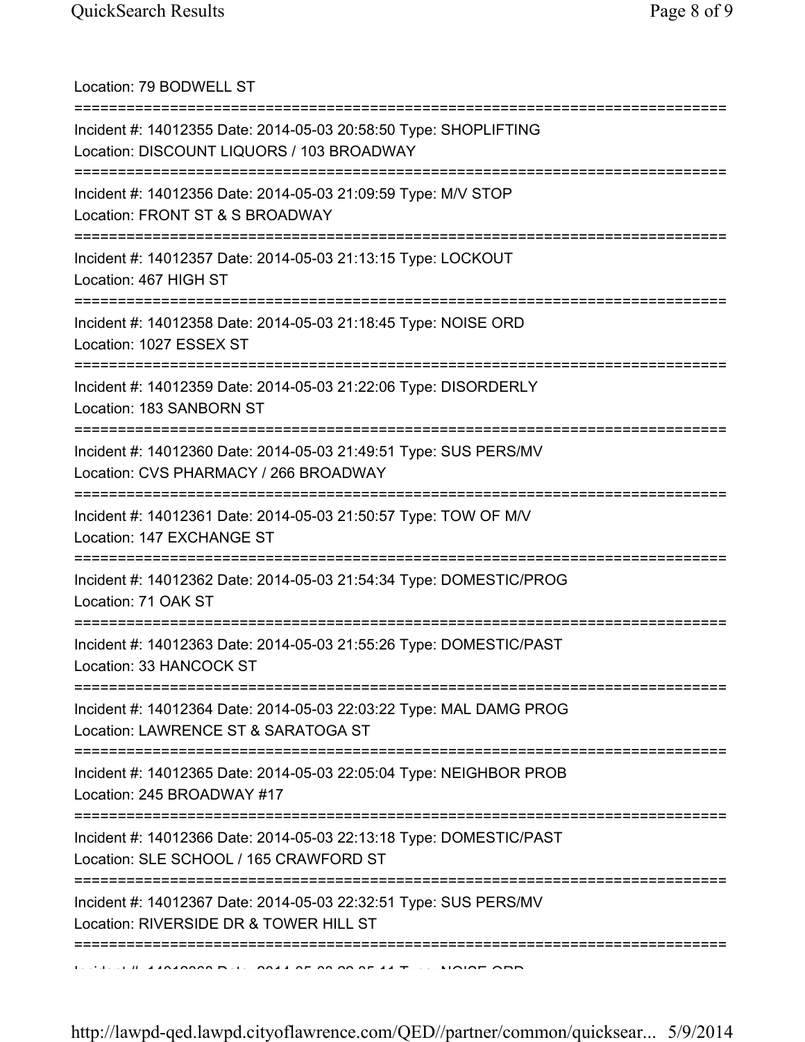| Location: 79 BODWELL ST                                                                                                                   |
|-------------------------------------------------------------------------------------------------------------------------------------------|
| Incident #: 14012355 Date: 2014-05-03 20:58:50 Type: SHOPLIFTING<br>Location: DISCOUNT LIQUORS / 103 BROADWAY                             |
| Incident #: 14012356 Date: 2014-05-03 21:09:59 Type: M/V STOP<br>Location: FRONT ST & S BROADWAY                                          |
| Incident #: 14012357 Date: 2014-05-03 21:13:15 Type: LOCKOUT<br>Location: 467 HIGH ST<br>=====================================            |
| Incident #: 14012358 Date: 2014-05-03 21:18:45 Type: NOISE ORD<br>Location: 1027 ESSEX ST                                                 |
| =================================<br>Incident #: 14012359 Date: 2014-05-03 21:22:06 Type: DISORDERLY<br>Location: 183 SANBORN ST          |
| Incident #: 14012360 Date: 2014-05-03 21:49:51 Type: SUS PERS/MV<br>Location: CVS PHARMACY / 266 BROADWAY                                 |
| Incident #: 14012361 Date: 2014-05-03 21:50:57 Type: TOW OF M/V<br>Location: 147 EXCHANGE ST                                              |
| Incident #: 14012362 Date: 2014-05-03 21:54:34 Type: DOMESTIC/PROG<br>Location: 71 OAK ST                                                 |
| Incident #: 14012363 Date: 2014-05-03 21:55:26 Type: DOMESTIC/PAST<br>Location: 33 HANCOCK ST                                             |
| Incident #: 14012364 Date: 2014-05-03 22:03:22 Type: MAL DAMG PROG<br>Location: LAWRENCE ST & SARATOGA ST                                 |
| =====================================<br>Incident #: 14012365 Date: 2014-05-03 22:05:04 Type: NEIGHBOR PROB<br>Location: 245 BROADWAY #17 |
| Incident #: 14012366 Date: 2014-05-03 22:13:18 Type: DOMESTIC/PAST<br>Location: SLE SCHOOL / 165 CRAWFORD ST                              |
| Incident #: 14012367 Date: 2014-05-03 22:32:51 Type: SUS PERS/MV<br>Location: RIVERSIDE DR & TOWER HILL ST                                |
|                                                                                                                                           |